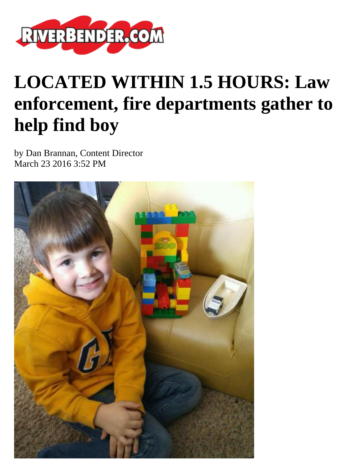

## **LOCATED WITHIN 1.5 HOURS: Law enforcement, fire departments gather to help find boy**

by Dan Brannan, Content Director March 23 2016 3:52 PM